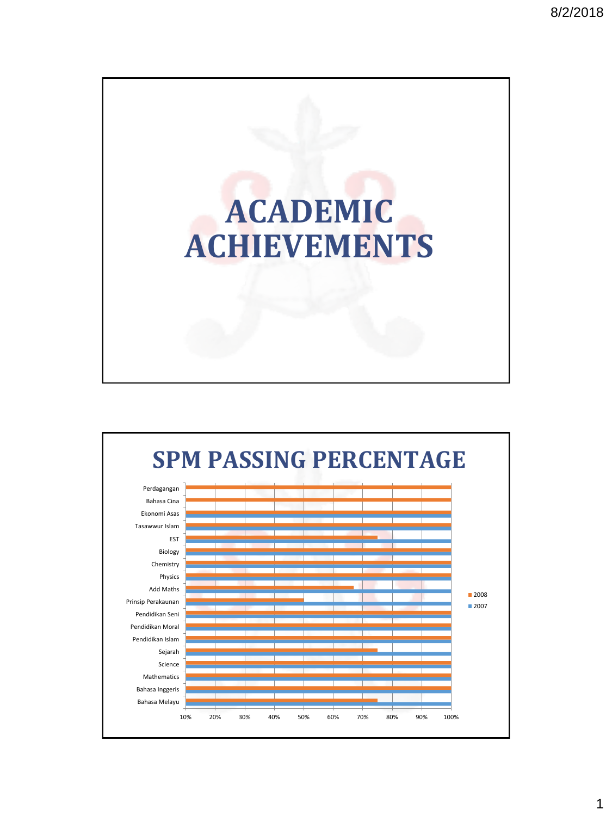

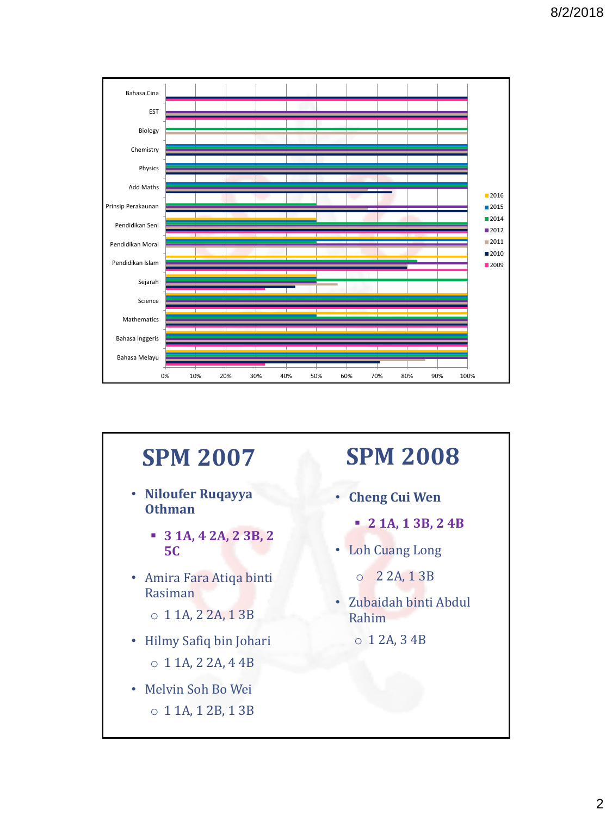

#### **SPM 2007**

- **Niloufer Ruqayya Othman**
	- **3 1A, 4 2A, 2 3B, 2 5C**
- Amira Fara Atiqa binti Rasiman
	- o 1 1A, 2 2A, 1 3B
- Hilmy Safiq bin Johari o 1 1A, 2 2A, 4 4B
- Melvin Soh Bo Wei o 1 1A, 1 2B, 1 3B

## **SPM 2008**

- **Cheng Cui Wen**
	- **2 1A, 1 3B, 2 4B**
- Loh Cuang Long
	- o 2 2A, 1 3B
- Zubaidah binti Abdul Rahim
	- o 1 2A, 3 4B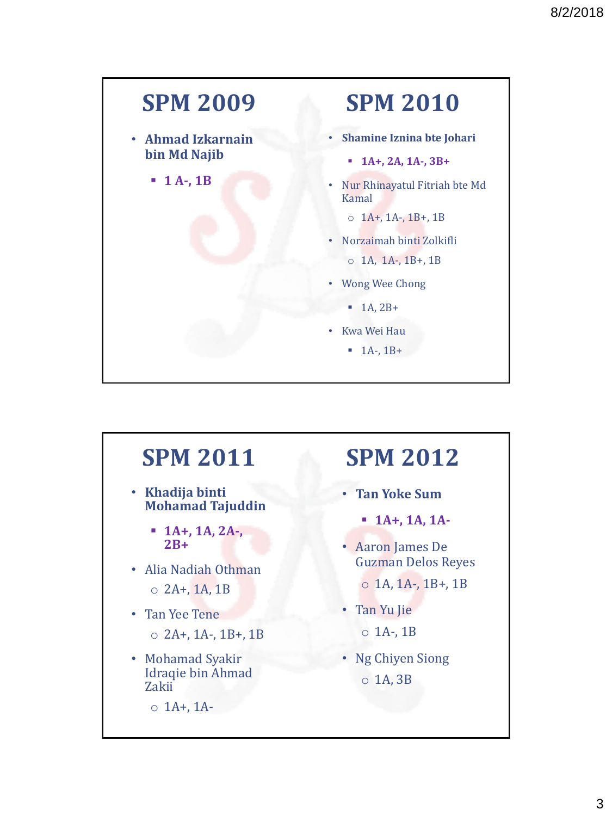## **SPM 2009 SPM 2010**

- **Ahmad Izkarnain bin Md Najib**
	- **1 A-, 1B**

- **Shamine Iznina bte Johari** 
	- **1A+, 2A, 1A-, 3B+**
- Nur Rhinayatul Fitriah bte Md Kamal
	- $O$  1A+, 1A-, 1B+, 1B
- Norzaimah binti Zolkifli

 $O$  1A, 1A-, 1B+, 1B

- Wong Wee Chong
	- $\blacksquare$  1A, 2B+
- Kwa Wei Hau
	- $-1A-1B+$

#### **SPM 2011**

- **Khadija binti Mohamad Tajuddin**
	- $\blacksquare$  1A+, 1A, 2A-, **2B+**
- Alia Nadiah Othman
	- $\circ$  2A+, 1A, 1B
- Tan Yee Tene  $\circ$  2A+, 1A-, 1B+, 1B
- Mohamad Syakir Idraqie bin Ahmad Zakii
	- $O$  1A+, 1A-

#### **SPM 2012**

- **Tan Yoke Sum**
	- **1A+, 1A, 1A-**
- Aaron James De Guzman Delos Reyes
	- $O$  1A, 1A-, 1B+, 1B
- Tan Yu Jie  $\circ$  1A-, 1B
- Ng Chiyen Siong o 1A, 3B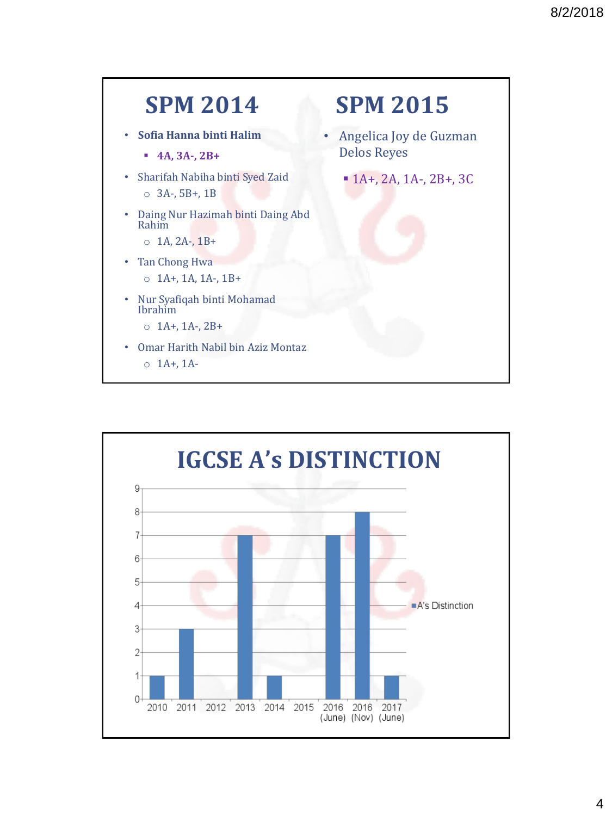

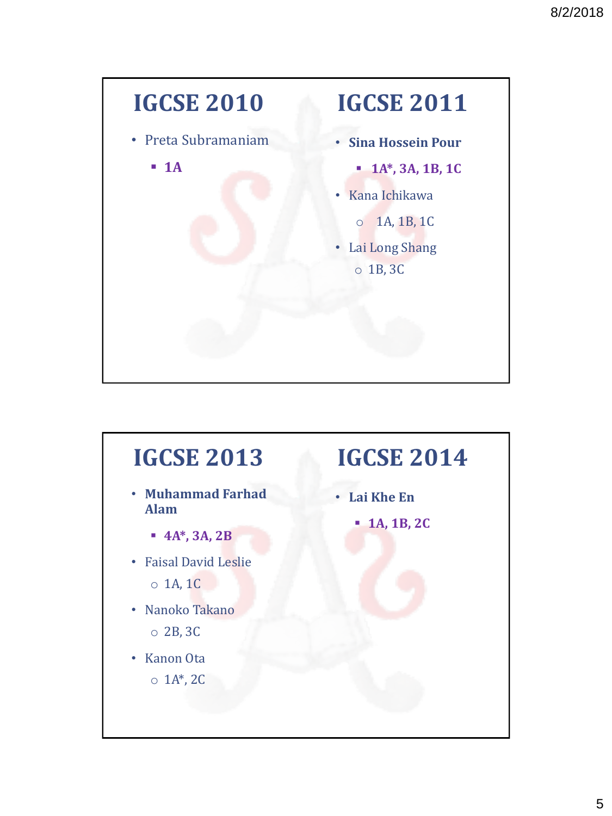

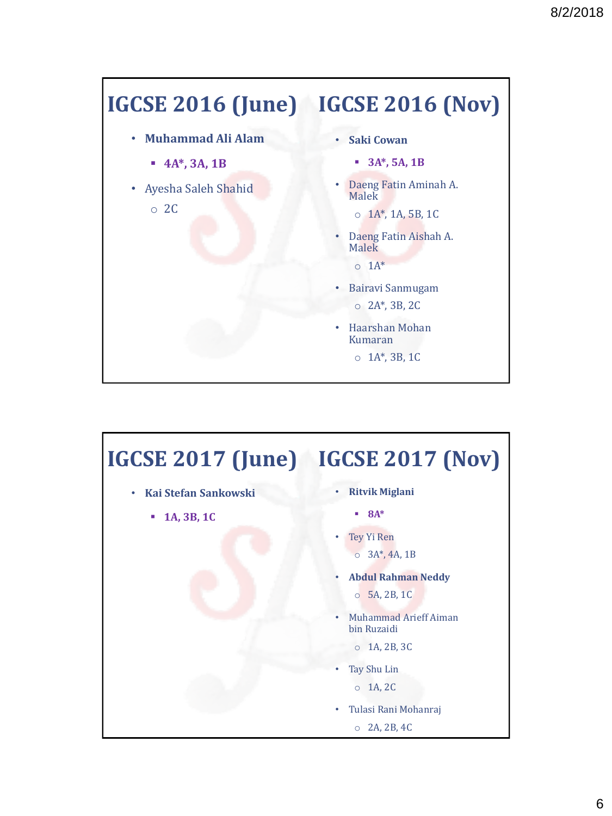# **IGCSE 2016 (June) IGCSE 2016 (Nov)**

- **Muhammad Ali Alam**
	- **4A\*, 3A, 1B**
- Ayesha Saleh Shahid
	- o 2C
- **Saki Cowan**
	- **3A\*, 5A, 1B**
- Daeng Fatin Aminah A. Malek
	- $O$   $1A^*$ , 1A, 5B, 1C
- Daeng Fatin Aishah A. Malek

 $O \ 1A^*$ 

- Bairavi Sanmugam o 2A\*, 3B, 2C
- Haarshan Mohan Kumaran
	- o 1A\*, 3B, 1C

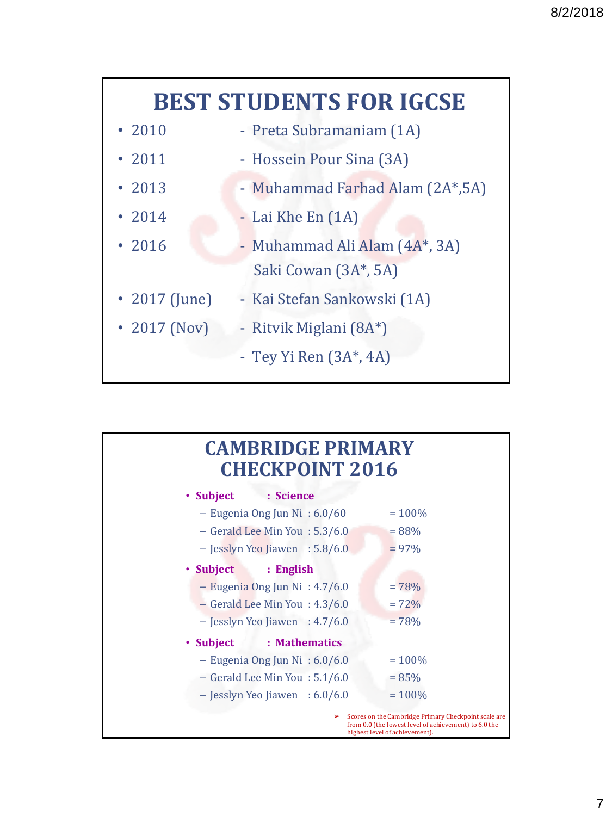## **BEST STUDENTS FOR IGCSE**

- 2010 Preta Subramaniam (1A)
- 2011 Hossein Pour Sina (3A)
- 2013 Muhammad Farhad Alam (2A\*, 5A)
- 2014 Lai Khe En (1A)
- 2016 Muhammad Ali Alam (4A\*, 3A) Saki Cowan (3A\*, 5A)
- 2017 (June) Kai Stefan Sankowski (1A)
	- 2017 (Nov) Ritvik Miglani (8A\*)
		- Tey Yi Ren (3A\*, 4A)

#### **CAMBRIDGE PRIMARY CHECKPOINT 2016**

| • Subject<br>: Science             |                                                                                                                                                      |
|------------------------------------|------------------------------------------------------------------------------------------------------------------------------------------------------|
| - Eugenia Ong Jun Ni : $6.0/60$    | $= 100\%$                                                                                                                                            |
| - Gerald Lee Min You: 5.3/6.0      | $= 88\%$                                                                                                                                             |
| $-$ Jesslyn Yeo Jiawen : 5.8/6.0   | $= 97\%$                                                                                                                                             |
| • Subject<br>: English             |                                                                                                                                                      |
| $-$ Eugenia Ong Jun Ni : 4.7/6.0   | $= 78%$                                                                                                                                              |
| $-$ Gerald Lee Min You : 4.3/6.0   | $= 72\%$                                                                                                                                             |
| - Jesslyn Yeo Jiawen : 4.7/6.0     | $= 78%$                                                                                                                                              |
| • Subject<br>: Mathematics         |                                                                                                                                                      |
| - Eugenia Ong Jun Ni : 6.0/6.0     | $= 100\%$                                                                                                                                            |
| $-$ Gerald Lee Min You : $5.1/6.0$ | $= 85\%$                                                                                                                                             |
| $-$ Jesslyn Yeo Jiawen : 6.0/6.0   | $= 100\%$                                                                                                                                            |
|                                    | Scores on the Cambridge Primary Checkpoint scale are<br>➤<br>from 0.0 (the lowest level of achievement) to 6.0 the<br>highest level of achievement). |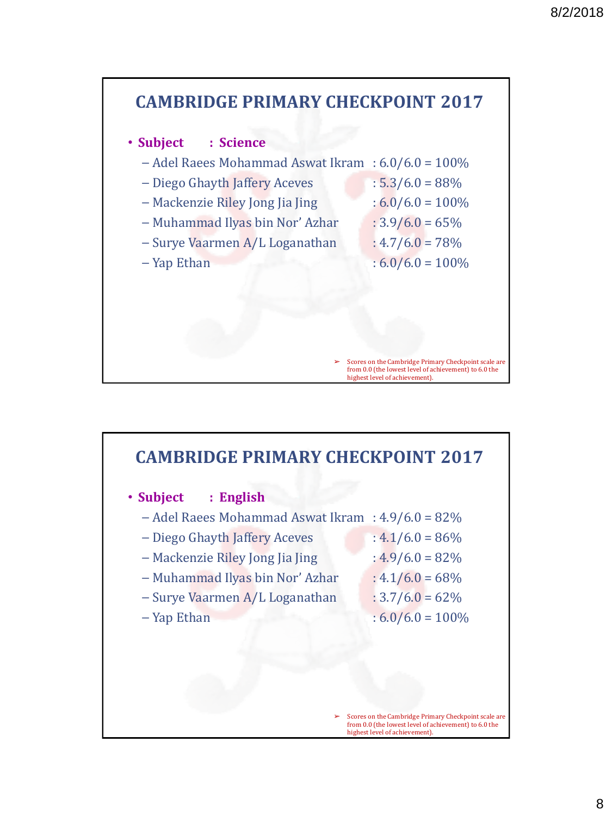

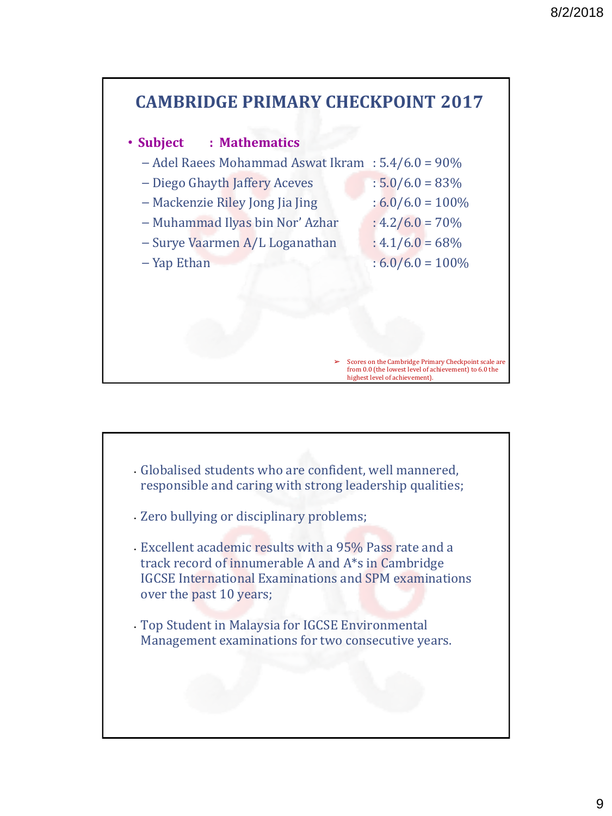